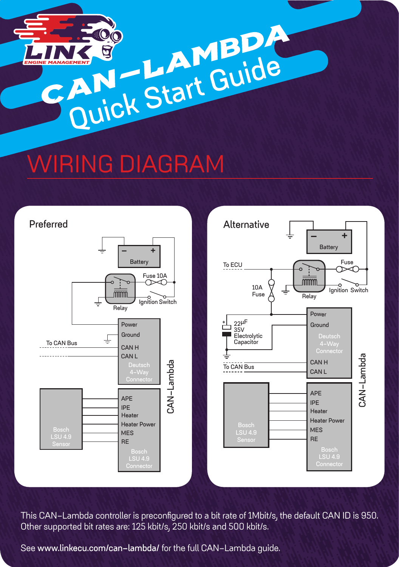

## **WIRING DIAGRAM**



**This CAN-Lambda controller is preconfigured to a bit rate of 1Mbit/s, the default CAN ID is 950. Other supported bit rates are: 125 kbit/s, 250 kbit/s and 500 kbit/s.** 

**See www.linkecu.com/can-lambda/ for the full CAN-Lambda guide.**